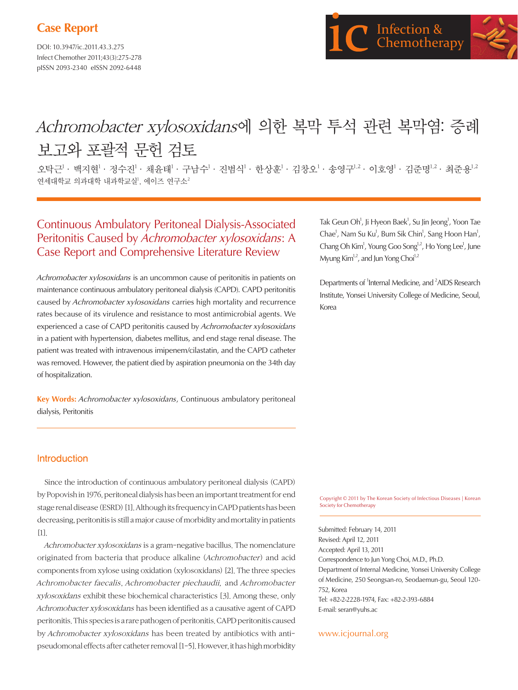# **Case Report**

DOI: 10.3947/ic.2011.43.3.275 Infect Chemother 2011;43(3):275-278 pISSN 2093-2340 eISSN 2092-6448



# Achromobacter xylosoxidans에 의한 복막 투석 관련 복막염: 증례 보고와 포괄적 문헌 검토

오탁근<sup>1</sup> · 백지현<sup>1</sup> · 정수진<sup>1</sup> · 채윤태<sup>1</sup> · 구남수<sup>1</sup> · 진범식<sup>1</sup> · 한상훈<sup>1</sup> · 김창오<sup>1</sup> · 송영구<sup>1,2</sup> · 이호영<sup>1</sup> · 김주명<sup>1,2</sup> · 최주용<sup>1,2</sup> 연세대학교 의과대학 내과학교실<sup>1</sup>, 에이즈 연구소 $^2$ 

## Continuous Ambulatory Peritoneal Dialysis-Associated Peritonitis Caused by Achromobacter xylosoxidans: A Case Report and Comprehensive Literature Review

Achromobacter xylosoxidans is an uncommon cause of peritonitis in patients on maintenance continuous ambulatory peritoneal dialysis (CAPD). CAPD peritonitis caused by Achromobacter xylosoxidans carries high mortality and recurrence rates because of its virulence and resistance to most antimicrobial agents. We experienced a case of CAPD peritonitis caused by Achromobacter xylosoxidans in a patient with hypertension, diabetes mellitus, and end stage renal disease. The patient was treated with intravenous imipenem/cilastatin, and the CAPD catheter was removed. However, the patient died by aspiration pneumonia on the 34th day of hospitalization.

**Key Words:** Achromobacter xylosoxidans, Continuous ambulatory peritoneal dialysis, Peritonitis

Tak Geun Oh<sup>1</sup>, Ji Hyeon Baek<sup>1</sup>, Su Jin Jeong<sup>1</sup>, Yoon Tae Chae<sup>1</sup>, Nam Su Ku<sup>1</sup>, Bum Sik Chin<sup>1</sup>, Sang Hoon Han<sup>1</sup>, Chang Oh Kim<sup>1</sup>, Young Goo Song<sup>1,2</sup>, Ho Yong Lee<sup>1</sup>, June Myung  $Kim<sup>1,2</sup>$ , and Jun Yong Choi<sup>1,2</sup>

Departments of <sup>1</sup>Internal Medicine, and <sup>2</sup>AIDS Research Institute, Yonsei University College of Medicine, Seoul, Korea

### Introduction

Since the introduction of continuous ambulatory peritoneal dialysis (CAPD) by Popovish in 1976, peritoneal dialysis has been an important treatment for end stage renal disease (ESRD) [1]. Although its frequency in CAPD patients has been decreasing, peritonitis is still a major cause of morbidity and mortality in patients [1].

Achromobacter xylosoxidans is a gram-negative bacillus. The nomenclature originated from bacteria that produce alkaline (Achromobacter) and acid components from xylose using oxidation (xylosoxidans) [2]. The three species Achromobacter faecalis, Achromobacter piechaudii, and Achromobacter xylosoxidans exhibit these biochemical characteristics [3]. Among these, only Achromobacter xylosoxidans has been identified as a causative agent of CAPD peritonitis. This species is a rare pathogen of peritonitis. CAPD peritonitis caused by Achromobacter xylosoxidans has been treated by antibiotics with antipseudomonal effects after catheter removal [1-5]. However, it has high morbidity

Copyright © 2011 by The Korean Society of Infectious Diseases | Korean Society for Chemotherapy

Submitted: February 14, 2011 Revised: April 12, 2011 Accepted: April 13, 2011 Correspondence to Jun Yong Choi, M.D., Ph.D. Department of Internal Medicine, Yonsei University College of Medicine, 250 Seongsan-ro, Seodaemun-gu, Seoul 120- 752, Korea Tel: +82-2-2228-1974, Fax: +82-2-393-6884 E-mail: seran@yuhs.ac

www.icjournal.org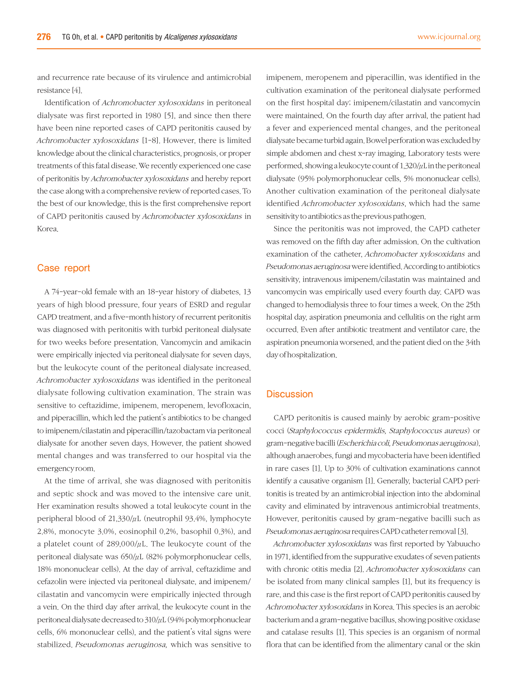and recurrence rate because of its virulence and antimicrobial resistance [4].

Identification of Achromobacter xylosoxidans in peritoneal dialysate was first reported in 1980 [5], and since then there have been nine reported cases of CAPD peritonitis caused by Achromobacter xylosoxidans [1-8]. However, there is limited knowledge about the clinical characteristics, prognosis, or proper treatments of this fatal disease. We recently experienced one case of peritonitis by Achromobacter xylosoxidans and hereby report the case along with a comprehensive review of reported cases. To the best of our knowledge, this is the first comprehensive report of CAPD peritonitis caused by Achromobacter xylosoxidans in Korea.

## Case report

A 74-year-old female with an 18-year history of diabetes, 13 years of high blood pressure, four years of ESRD and regular CAPD treatment, and a five-month history of recurrent peritonitis was diagnosed with peritonitis with turbid peritoneal dialysate for two weeks before presentation. Vancomycin and amikacin were empirically injected via peritoneal dialysate for seven days, but the leukocyte count of the peritoneal dialysate increased. Achromobacter xylosoxidans was identified in the peritoneal dialysate following cultivation examination. The strain was sensitive to ceftazidime, imipenem, meropenem, levofloxacin, and piperacillin, which led the patient's antibiotics to be changed to imipenem/cilastatin and piperacillin/tazobactam via peritoneal dialysate for another seven days. However, the patient showed mental changes and was transferred to our hospital via the emergency room.

At the time of arrival, she was diagnosed with peritonitis and septic shock and was moved to the intensive care unit. Her examination results showed a total leukocyte count in the peripheral blood of 21,330/μL (neutrophil 93.4%, lymphocyte 2.8%, monocyte 3.0%, eosinophil 0.2%, basophil 0.3%), and a platelet count of 289,000/μL. The leukocyte count of the peritoneal dialysate was  $650/\mu$ L (82% polymorphonuclear cells, 18% mononuclear cells). At the day of arrival, ceftazidime and cefazolin were injected via peritoneal dialysate, and imipenem/ cilastatin and vancomycin were empirically injected through a vein. On the third day after arrival, the leukocyte count in the peritoneal dialysate decreased to 310/μL (94% polymorphonuclear cells, 6% mononuclear cells), and the patient's vital signs were stabilized. Pseudomonas aeruginosa, which was sensitive to imipenem, meropenem and piperacillin, was identified in the cultivation examination of the peritoneal dialysate performed on the first hospital day; imipenem/cilastatin and vancomycin were maintained. On the fourth day after arrival, the patient had a fever and experienced mental changes, and the peritoneal dialysate became turbid again. Bowel perforation was excluded by simple abdomen and chest x-ray imaging. Laboratory tests were performed, showing a leukocyte count of  $1,320/\mu$ L in the peritoneal dialysate (95% polymorphonuclear cells, 5% mononuclear cells). Another cultivation examination of the peritoneal dialysate identified Achromobacter xylosoxidans, which had the same sensitivity to antibiotics as the previous pathogen.

Since the peritonitis was not improved, the CAPD catheter was removed on the fifth day after admission. On the cultivation examination of the catheter, Achromobacter xylosoxidans and Pseudomonas aeruginosa were identified. According to antibiotics sensitivity, intravenous imipenem/cilastatin was maintained and vancomycin was empirically used every fourth day. CAPD was changed to hemodialysis three to four times a week. On the 25th hospital day, aspiration pneumonia and cellulitis on the right arm occurred. Even after antibiotic treatment and ventilator care, the aspiration pneumonia worsened, and the patient died on the 34th day of hospitalization.

#### **Discussion**

CAPD peritonitis is caused mainly by aerobic gram-positive cocci (Staphylococcus epidermidis, Staphylococcus aureus) or gram-negative bacilli (Escherichia coli, Pseudomonas aeruginosa), although anaerobes, fungi and mycobacteria have been identified in rare cases [1]. Up to 30% of cultivation examinations cannot identify a causative organism [1]. Generally, bacterial CAPD peritonitis is treated by an antimicrobial injection into the abdominal cavity and eliminated by intravenous antimicrobial treatments. However, peritonitis caused by gram-negative bacilli such as Pseudomonas aeruginosa requires CAPD catheter removal [3].

Achromobacter xylosoxidans was first reported by Yabuucho in 1971, identified from the suppurative exudates of seven patients with chronic otitis media [2]. Achromobacter xylosoxidans can be isolated from many clinical samples [1], but its frequency is rare, and this case is the first report of CAPD peritonitis caused by Achromobacter xylosoxidans in Korea. This species is an aerobic bacterium and a gram-negative bacillus, showing positive oxidase and catalase results [1]. This species is an organism of normal flora that can be identified from the alimentary canal or the skin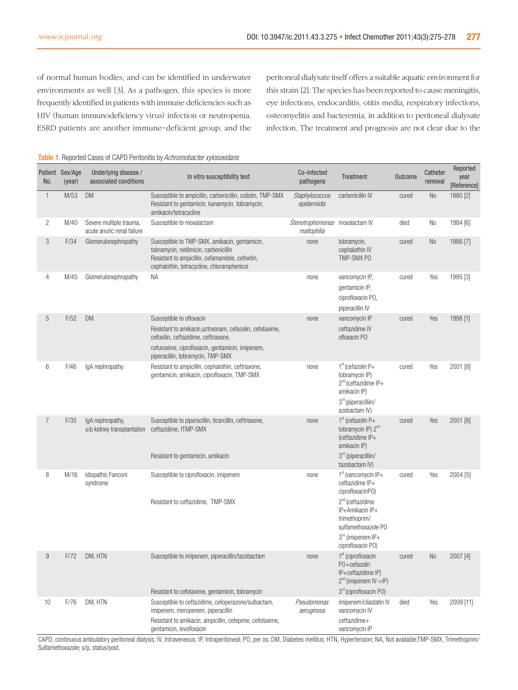of normal human bodies, and can be identified in underwater environments as well [3]. As a pathogen, this species is more frequently identified in patients with immune deficiencies such as HIV (human immunodeficiency virus) infection or neutropenia. ESRD patients are another immune-deficient group, and the peritoneal dialysate itself offers a suitable aquatic environment for this strain [2]. The species has been reported to cause meningitis, eye infections, endocarditis, otitis media, respiratory infections, osteomyelitis and bacteremia, in addition to peritoneal dialysate infection. The treatment and prognosis are not clear due to the

| No.          | Patient Sex/Age<br>(year) | Underlying disease /<br>associated conditions         | In vitro susceptibility test                                                                                                                                                             | Co-infected<br>pathogens                      | Treatment                                                                                                                              | <b>Outcome</b> | Catheter<br>removal | Reported<br>year<br>[Reference] |
|--------------|---------------------------|-------------------------------------------------------|------------------------------------------------------------------------------------------------------------------------------------------------------------------------------------------|-----------------------------------------------|----------------------------------------------------------------------------------------------------------------------------------------|----------------|---------------------|---------------------------------|
| $\mathbf{1}$ | M/53                      | <b>DM</b>                                             | Susceptible to ampicillin, carbenicillin, colistin, TMP-SMX<br>Resistant to gentamicin, kanamycin, tobramycin,<br>amikacin/tetracycline                                                  | Staphylococcus<br>epidermidis                 | carbenicillin IV                                                                                                                       | cured          | No                  | 1980 [2]                        |
| 2            | M/40                      | Severe multiple trauma,<br>acute anuric renal failure | Susceptible to moxalactam                                                                                                                                                                | Stenotrophomonas moxalactam IV<br>maltophilia |                                                                                                                                        | died           | No                  | 1984 [6]                        |
| 3            | F/34                      | Glomerulonephropathy                                  | Susceptible to TMP-SMX, amikacin, gentamicin,<br>tobramycin, netilmicin, carbenicillin<br>Resistant to ampicillin, cefamandole, cefoxitin,<br>cephalothin, tetracycline, chloramphenicol | none                                          | tobramycin,<br>cephalothin IV<br>TMP-SMX PO                                                                                            | cured          | N <sub>0</sub>      | 1986 [7]                        |
| 4            | M/45                      | Glomerulonephropathy                                  | ΝA                                                                                                                                                                                       | none                                          | vancomycin IP,<br>gentamicin IP,<br>ciprofloxacin PO,<br>piperacillin IV                                                               | cured          | Yes                 | 1995 [3]                        |
| 5            | F/52                      | <b>DM</b>                                             | Susceptible to ofloxacin                                                                                                                                                                 | none                                          | vancomycin IP                                                                                                                          | cured          | Yes                 | 1998 [1]                        |
|              |                           |                                                       | Resistant to amikacin, aztreonam, cefazolin, cefotaxime,<br>cefoxitin, ceftazidime, ceftriaxone,                                                                                         |                                               | ceftazidime IV<br>ofloxacin PO                                                                                                         |                |                     |                                 |
|              |                           |                                                       | cefuroxime, ciprofloxacin, gentamicin, imipenem,<br>piperacillin, tobramycin, TMP-SMX                                                                                                    |                                               |                                                                                                                                        |                |                     |                                 |
| 6            | F/46                      | IgA nephropathy                                       | Resistant to ampicillin, cephalothin, ceftriaxone,<br>gentamicin, amikacin, ciprofloxacin, TMP-SMX                                                                                       | none                                          | $1st$ (cefazolin P+<br>tobramycin IP)<br>$2^{nd}$ (ceftazidime IP+<br>amikacin IP)<br>3 <sup>rd</sup> (piperacilliin/<br>azobactam IV) | cured          | Yes                 | 2001 [8]                        |
| 7            | F/35                      | IgA nephropathy,<br>s/p kidney transplantation        | Susceptible to piperacillin, ticarcillin, ceftriaxone,<br>ceftazidime, tTMP-SMX<br>Resistant to gentamicin, amikacin                                                                     | none                                          | $1st$ (cefazolin P+<br>tobramycin IP) 2 <sup>nd</sup><br>(ceftazidime IP+<br>amikacin IP)<br>3 <sup>rd</sup> (piperacilliin/           | cured          | Yes                 | 2001 [8]                        |
| 8            | M/16                      | Idiopathic Fanconi                                    | Susceptible to ciprofloxacin, imipenem                                                                                                                                                   | none                                          | tazobactam IV)<br>$1st$ (vancomycin IP+                                                                                                | cured          | Yes                 | 2004 [5]                        |
|              |                           | syndrome                                              |                                                                                                                                                                                          |                                               | ceftazidime IP+<br>ciprofloxacinP0)                                                                                                    |                |                     |                                 |
|              |                           |                                                       | Resistant to ceftazidime, TMP-SMX                                                                                                                                                        |                                               | $2^{nd}$ (ceftazidime<br>IP+Amikacin IP+<br>trimethoprim/<br>sulfamethoxazole PO                                                       |                |                     |                                 |
|              |                           |                                                       |                                                                                                                                                                                          |                                               | $3rd$ (imipenem IP+<br>ciprofloxacin PO)                                                                                               |                |                     |                                 |
| 9            |                           | F/72 DM, HTN                                          | Susceptible to imipenem, piperacillin/tazobactam                                                                                                                                         | none                                          | $1st$ (ciprofloxacin<br>P0+cefazolin<br>IP+ceftazidime IP)<br>$2^{nd}$ (imipenem IV->IP)                                               | cured          | No                  | 2007 [4]                        |
|              |                           |                                                       | Resistant to cefotaxime, gentamicin, tobramycin                                                                                                                                          |                                               | 3 <sup>rd</sup> (ciprofloxacin PO)                                                                                                     |                |                     |                                 |
| 10           | F/76                      | DM, HTN                                               | Susceptible to ceftazidime, cefoperazone/sulbactam.<br>imipenem, meropenem, piperacillin                                                                                                 | Pseudomonas<br>aeruginosa                     | imipenem/cilastatin IV<br>vancomycin IV                                                                                                | died           | Yes                 | 2009 [11]                       |
|              |                           |                                                       | Resistant to amikacin, ampicillin, cefepime, cefotaxime,<br>gentamicin, levofloxacin                                                                                                     |                                               | ceftazidime+<br>vancomycin IP                                                                                                          |                |                     |                                 |

#### Table 1. Reported Cases of CAPD Peritonitis by Achromobacter xylosoxidans

CAPD, continuous ambulatory peritoneal dialysis; IV, Intraveneous; IP, Intraperitoneal; PO, per os; DM, Diabetes mellitus; HTN, Hypertension; NA, Not available;TMP-SMX, Trimethoprim/ Sulfamethoxazole; s/p, status/post.